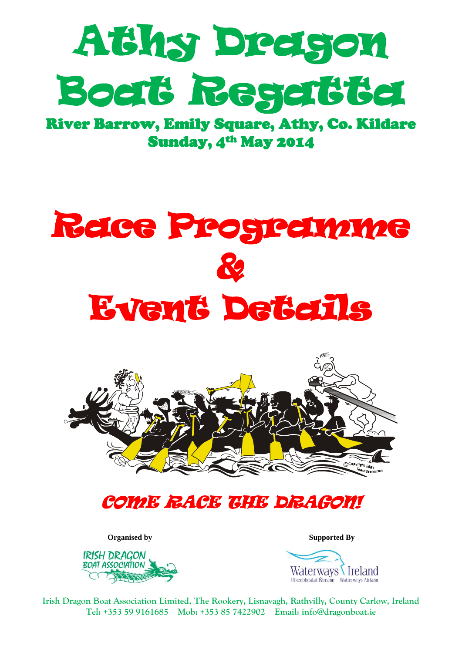

River Barrow, Emily Square, Athy, Co. Kildare Sunday, 4<sup>th</sup> May 2014

# Race Programme & Event Details



## COME RACE THE DRAGON!

IRISH DRAGON **BOAT ASSOCIATION** 

**Organised by Supported By**



**Irish Dragon Boat Association Limited, The Rookery, Lisnavagh, Rathvilly, County Carlow, Ireland Tel: +353 59 9161685 Mob: +353 85 7422902 Email: [info@dragonboat.ie](mailto:info@dragonboat.ie)**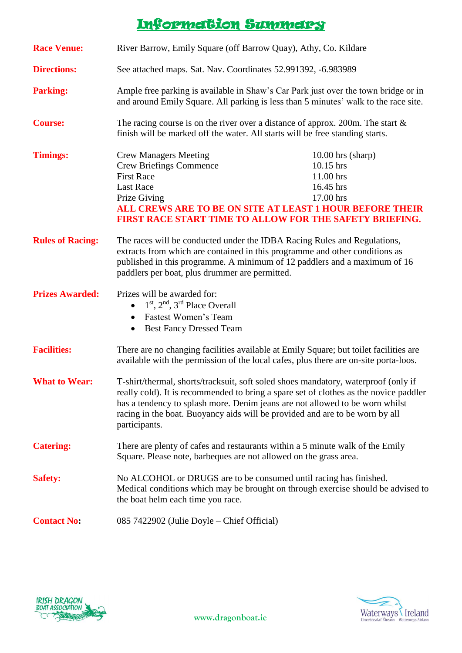### Information Summary

| <b>Race Venue:</b>      | River Barrow, Emily Square (off Barrow Quay), Athy, Co. Kildare                                                                                                                                                                                                                                                                                              |  |
|-------------------------|--------------------------------------------------------------------------------------------------------------------------------------------------------------------------------------------------------------------------------------------------------------------------------------------------------------------------------------------------------------|--|
| <b>Directions:</b>      | See attached maps. Sat. Nav. Coordinates 52.991392, -6.983989                                                                                                                                                                                                                                                                                                |  |
| <b>Parking:</b>         | Ample free parking is available in Shaw's Car Park just over the town bridge or in<br>and around Emily Square. All parking is less than 5 minutes' walk to the race site.                                                                                                                                                                                    |  |
| <b>Course:</b>          | The racing course is on the river over a distance of approx. 200m. The start $\&$<br>finish will be marked off the water. All starts will be free standing starts.                                                                                                                                                                                           |  |
| <b>Timings:</b>         | <b>Crew Managers Meeting</b><br>$10.00$ hrs (sharp)<br><b>Crew Briefings Commence</b><br>10.15 hrs<br><b>First Race</b><br>11.00 hrs<br>16.45 hrs<br><b>Last Race</b><br>Prize Giving<br>17.00 hrs<br>ALL CREWS ARE TO BE ON SITE AT LEAST 1 HOUR BEFORE THEIR<br>FIRST RACE START TIME TO ALLOW FOR THE SAFETY BRIEFING.                                    |  |
| <b>Rules of Racing:</b> | The races will be conducted under the IDBA Racing Rules and Regulations,<br>extracts from which are contained in this programme and other conditions as<br>published in this programme. A minimum of 12 paddlers and a maximum of 16<br>paddlers per boat, plus drummer are permitted.                                                                       |  |
| <b>Prizes Awarded:</b>  | Prizes will be awarded for:<br>$\bullet$ 1 <sup>st</sup> , 2 <sup>nd</sup> , 3 <sup>rd</sup> Place Overall<br>Fastest Women's Team<br><b>Best Fancy Dressed Team</b><br>$\bullet$                                                                                                                                                                            |  |
| <b>Facilities:</b>      | There are no changing facilities available at Emily Square; but toilet facilities are<br>available with the permission of the local cafes, plus there are on-site porta-loos.                                                                                                                                                                                |  |
| <b>What to Wear:</b>    | T-shirt/thermal, shorts/tracksuit, soft soled shoes mandatory, waterproof (only if<br>really cold). It is recommended to bring a spare set of clothes as the novice paddler<br>has a tendency to splash more. Denim jeans are not allowed to be worn whilst<br>racing in the boat. Buoyancy aids will be provided and are to be worn by all<br>participants. |  |
| <b>Catering:</b>        | There are plenty of cafes and restaurants within a 5 minute walk of the Emily<br>Square. Please note, barbeques are not allowed on the grass area.                                                                                                                                                                                                           |  |
| <b>Safety:</b>          | No ALCOHOL or DRUGS are to be consumed until racing has finished.<br>Medical conditions which may be brought on through exercise should be advised to<br>the boat helm each time you race.                                                                                                                                                                   |  |
| <b>Contact No:</b>      | 085 7422902 (Julie Doyle – Chief Official)                                                                                                                                                                                                                                                                                                                   |  |



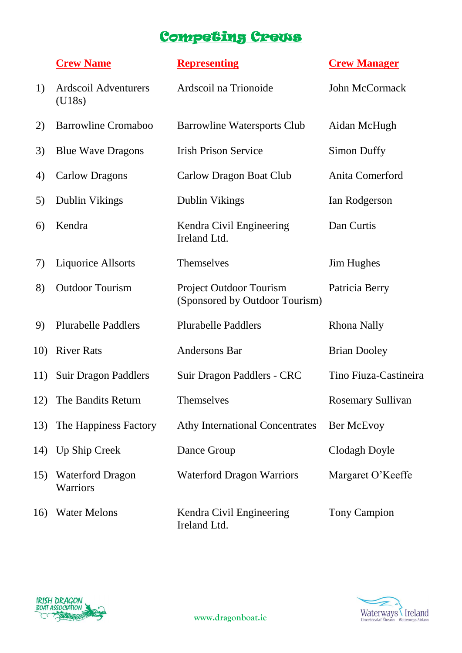## Competing Crews

|     | <b>Crew Name</b>                      | <b>Representing</b>                                              | <b>Crew Manager</b>      |
|-----|---------------------------------------|------------------------------------------------------------------|--------------------------|
| 1)  | <b>Ardscoil Adventurers</b><br>(U18s) | Ardscoil na Trionoide                                            | John McCormack           |
| 2)  | <b>Barrowline Cromaboo</b>            | Barrowline Watersports Club                                      | Aidan McHugh             |
| 3)  | <b>Blue Wave Dragons</b>              | <b>Irish Prison Service</b>                                      | Simon Duffy              |
| 4)  | <b>Carlow Dragons</b>                 | Carlow Dragon Boat Club                                          | Anita Comerford          |
| 5)  | Dublin Vikings                        | <b>Dublin Vikings</b>                                            | Ian Rodgerson            |
| 6)  | Kendra                                | Kendra Civil Engineering<br>Ireland Ltd.                         | Dan Curtis               |
| 7)  | <b>Liquorice Allsorts</b>             | Themselves                                                       | <b>Jim Hughes</b>        |
| 8)  | <b>Outdoor Tourism</b>                | <b>Project Outdoor Tourism</b><br>(Sponsored by Outdoor Tourism) | Patricia Berry           |
| 9)  | <b>Plurabelle Paddlers</b>            | <b>Plurabelle Paddlers</b>                                       | Rhona Nally              |
| 10) | <b>River Rats</b>                     | <b>Andersons Bar</b>                                             | <b>Brian Dooley</b>      |
|     | 11) Suir Dragon Paddlers              | Suir Dragon Paddlers - CRC                                       | Tino Fiuza-Castineira    |
|     | 12) The Bandits Return                | Themselves                                                       | <b>Rosemary Sullivan</b> |
| 13) | The Happiness Factory                 | <b>Athy International Concentrates</b>                           | Ber McEvoy               |
|     | 14) Up Ship Creek                     | Dance Group                                                      | Clodagh Doyle            |
| 15) | <b>Waterford Dragon</b><br>Warriors   | <b>Waterford Dragon Warriors</b>                                 | Margaret O'Keeffe        |
| 16) | <b>Water Melons</b>                   | Kendra Civil Engineering<br>Ireland Ltd.                         | Tony Campion             |



**[www.dragonboat.ie](http://www.dragonboat.ie/)**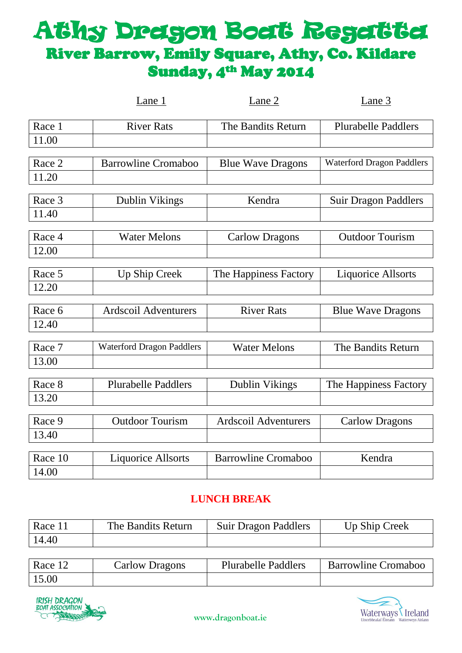# **Athy Dragon Boat Regatte** River Barrow, Emily Square, Athy, Co. Kildare Sunday, 4<sup>th</sup> May 2014

|         | Lane 1                           | Lane <sub>2</sub>           | Lane 3                           |
|---------|----------------------------------|-----------------------------|----------------------------------|
| Race 1  | <b>River Rats</b>                | The Bandits Return          | <b>Plurabelle Paddlers</b>       |
| 11.00   |                                  |                             |                                  |
| Race 2  | <b>Barrowline Cromaboo</b>       | <b>Blue Wave Dragons</b>    | <b>Waterford Dragon Paddlers</b> |
| 11.20   |                                  |                             |                                  |
| Race 3  | Dublin Vikings                   | Kendra                      | <b>Suir Dragon Paddlers</b>      |
| 11.40   |                                  |                             |                                  |
| Race 4  | <b>Water Melons</b>              | <b>Carlow Dragons</b>       | <b>Outdoor Tourism</b>           |
| 12.00   |                                  |                             |                                  |
| Race 5  | Up Ship Creek                    | The Happiness Factory       | <b>Liquorice Allsorts</b>        |
| 12.20   |                                  |                             |                                  |
| Race 6  | <b>Ardscoil Adventurers</b>      | <b>River Rats</b>           | <b>Blue Wave Dragons</b>         |
| 12.40   |                                  |                             |                                  |
| Race 7  | <b>Waterford Dragon Paddlers</b> | <b>Water Melons</b>         | The Bandits Return               |
| 13.00   |                                  |                             |                                  |
| Race 8  | <b>Plurabelle Paddlers</b>       | Dublin Vikings              | The Happiness Factory            |
| 13.20   |                                  |                             |                                  |
| Race 9  | <b>Outdoor Tourism</b>           | <b>Ardscoil Adventurers</b> | <b>Carlow Dragons</b>            |
| 13.40   |                                  |                             |                                  |
| Race 10 | <b>Liquorice Allsorts</b>        | <b>Barrowline Cromaboo</b>  | Kendra                           |
| 14.00   |                                  |                             |                                  |

#### **LUNCH BREAK**

| Race 1. | The Bandits Return | <b>Suir Dragon Paddlers</b> | Up Ship Creek |
|---------|--------------------|-----------------------------|---------------|
| 14.40   |                    |                             |               |
|         |                    |                             |               |

| Race 12 | Carlow Dragons | <b>Plurabelle Paddlers</b> | <b>Barrowline Cromaboo</b> |
|---------|----------------|----------------------------|----------------------------|
| 15.00   |                |                            |                            |